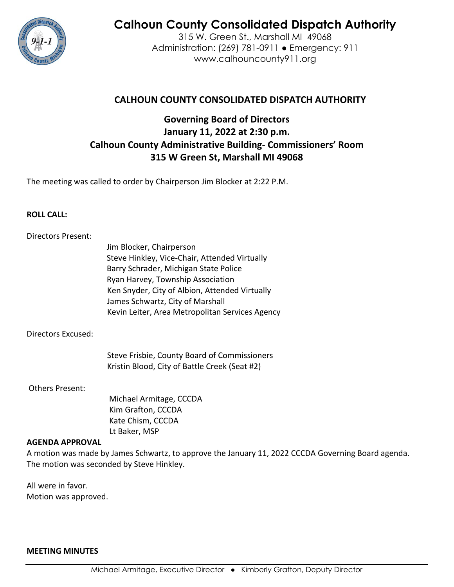

# **Calhoun County Consolidated Dispatch Authority**

315 W. Green St., Marshall MI 49068 Administration: (269) 781-0911 ● Emergency: 911 www.calhouncounty911.org

# **CALHOUN COUNTY CONSOLIDATED DISPATCH AUTHORITY**

# **Governing Board of Directors January 11, 2022 at 2:30 p.m. Calhoun County Administrative Building- Commissioners' Room 315 W Green St, Marshall MI 49068**

The meeting was called to order by Chairperson Jim Blocker at 2:22 P.M.

## **ROLL CALL:**

#### Directors Present:

Jim Blocker, Chairperson Steve Hinkley, Vice-Chair, Attended Virtually Barry Schrader, Michigan State Police Ryan Harvey, Township Association Ken Snyder, City of Albion, Attended Virtually James Schwartz, City of Marshall Kevin Leiter, Area Metropolitan Services Agency

#### Directors Excused:

Steve Frisbie, County Board of Commissioners Kristin Blood, City of Battle Creek (Seat #2)

#### Others Present:

 Michael Armitage, CCCDA Kim Grafton, CCCDA Kate Chism, CCCDA Lt Baker, MSP

#### **AGENDA APPROVAL**

A motion was made by James Schwartz, to approve the January 11, 2022 CCCDA Governing Board agenda. The motion was seconded by Steve Hinkley.

All were in favor. Motion was approved.

#### **MEETING MINUTES**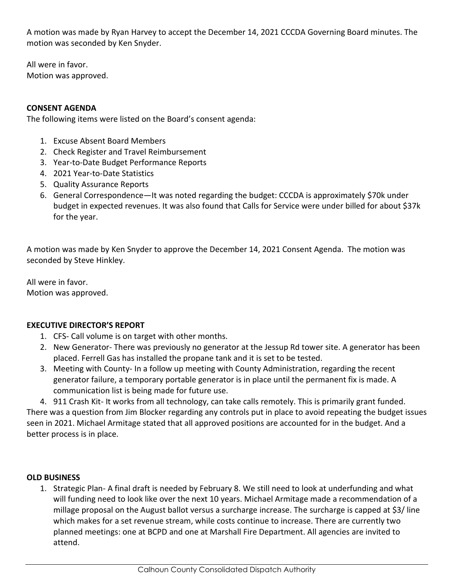A motion was made by Ryan Harvey to accept the December 14, 2021 CCCDA Governing Board minutes. The motion was seconded by Ken Snyder.

All were in favor. Motion was approved.

# **CONSENT AGENDA**

The following items were listed on the Board's consent agenda:

- 1. Excuse Absent Board Members
- 2. Check Register and Travel Reimbursement
- 3. Year-to-Date Budget Performance Reports
- 4. 2021 Year-to-Date Statistics
- 5. Quality Assurance Reports
- 6. General Correspondence—It was noted regarding the budget: CCCDA is approximately \$70k under budget in expected revenues. It was also found that Calls for Service were under billed for about \$37k for the year.

A motion was made by Ken Snyder to approve the December 14, 2021 Consent Agenda. The motion was seconded by Steve Hinkley.

All were in favor. Motion was approved.

#### **EXECUTIVE DIRECTOR'S REPORT**

- 1. CFS- Call volume is on target with other months.
- 2. New Generator- There was previously no generator at the Jessup Rd tower site. A generator has been placed. Ferrell Gas has installed the propane tank and it is set to be tested.
- 3. Meeting with County- In a follow up meeting with County Administration, regarding the recent generator failure, a temporary portable generator is in place until the permanent fix is made. A communication list is being made for future use.

4. 911 Crash Kit- It works from all technology, can take calls remotely. This is primarily grant funded. There was a question from Jim Blocker regarding any controls put in place to avoid repeating the budget issues seen in 2021. Michael Armitage stated that all approved positions are accounted for in the budget. And a better process is in place.

#### **OLD BUSINESS**

1. Strategic Plan- A final draft is needed by February 8. We still need to look at underfunding and what will funding need to look like over the next 10 years. Michael Armitage made a recommendation of a millage proposal on the August ballot versus a surcharge increase. The surcharge is capped at \$3/ line which makes for a set revenue stream, while costs continue to increase. There are currently two planned meetings: one at BCPD and one at Marshall Fire Department. All agencies are invited to attend.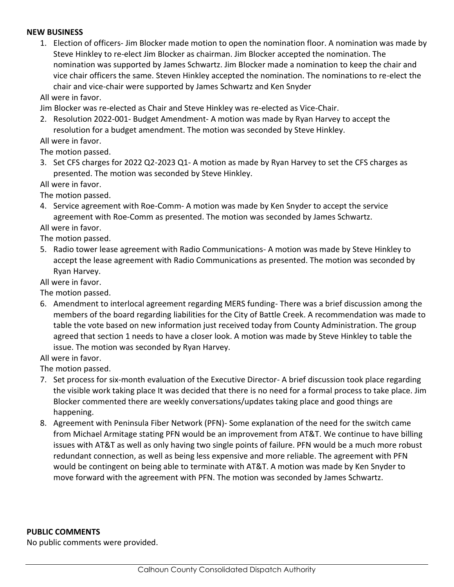#### **NEW BUSINESS**

1. Election of officers- Jim Blocker made motion to open the nomination floor. A nomination was made by Steve Hinkley to re-elect Jim Blocker as chairman. Jim Blocker accepted the nomination. The nomination was supported by James Schwartz. Jim Blocker made a nomination to keep the chair and vice chair officers the same. Steven Hinkley accepted the nomination. The nominations to re-elect the chair and vice-chair were supported by James Schwartz and Ken Snyder

All were in favor.

Jim Blocker was re-elected as Chair and Steve Hinkley was re-elected as Vice-Chair.

2. Resolution 2022-001- Budget Amendment- A motion was made by Ryan Harvey to accept the resolution for a budget amendment. The motion was seconded by Steve Hinkley.

All were in favor.

The motion passed.

3. Set CFS charges for 2022 Q2-2023 Q1- A motion as made by Ryan Harvey to set the CFS charges as presented. The motion was seconded by Steve Hinkley.

All were in favor.

The motion passed.

4. Service agreement with Roe-Comm- A motion was made by Ken Snyder to accept the service agreement with Roe-Comm as presented. The motion was seconded by James Schwartz.

All were in favor.

The motion passed.

5. Radio tower lease agreement with Radio Communications- A motion was made by Steve Hinkley to accept the lease agreement with Radio Communications as presented. The motion was seconded by Ryan Harvey.

All were in favor.

The motion passed.

6. Amendment to interlocal agreement regarding MERS funding- There was a brief discussion among the members of the board regarding liabilities for the City of Battle Creek. A recommendation was made to table the vote based on new information just received today from County Administration. The group agreed that section 1 needs to have a closer look. A motion was made by Steve Hinkley to table the issue. The motion was seconded by Ryan Harvey.

All were in favor.

The motion passed.

- 7. Set process for six-month evaluation of the Executive Director- A brief discussion took place regarding the visible work taking place It was decided that there is no need for a formal process to take place. Jim Blocker commented there are weekly conversations/updates taking place and good things are happening.
- 8. Agreement with Peninsula Fiber Network (PFN)- Some explanation of the need for the switch came from Michael Armitage stating PFN would be an improvement from AT&T. We continue to have billing issues with AT&T as well as only having two single points of failure. PFN would be a much more robust redundant connection, as well as being less expensive and more reliable. The agreement with PFN would be contingent on being able to terminate with AT&T. A motion was made by Ken Snyder to move forward with the agreement with PFN. The motion was seconded by James Schwartz.

#### **PUBLIC COMMENTS**

No public comments were provided.